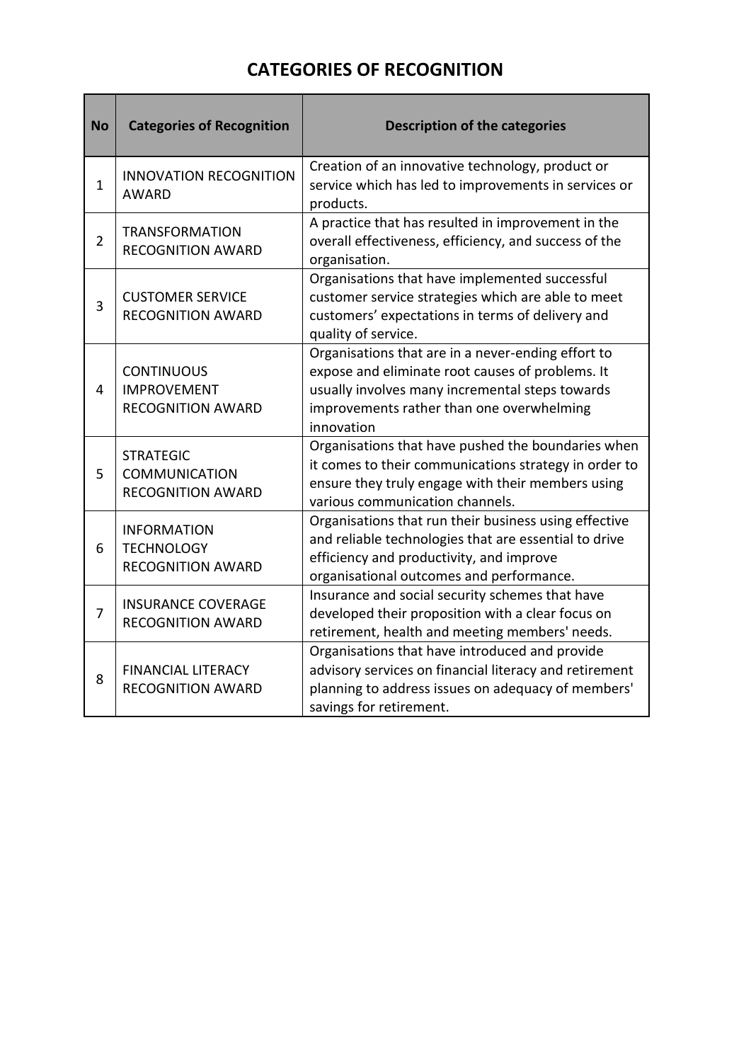## **CATEGORIES OF RECOGNITION**

T

| <b>No</b>      | <b>Categories of Recognition</b>                                     | <b>Description of the categories</b>                                                                                                                                                                                 |
|----------------|----------------------------------------------------------------------|----------------------------------------------------------------------------------------------------------------------------------------------------------------------------------------------------------------------|
| $\mathbf 1$    | <b>INNOVATION RECOGNITION</b><br><b>AWARD</b>                        | Creation of an innovative technology, product or<br>service which has led to improvements in services or<br>products.                                                                                                |
| $\overline{2}$ | <b>TRANSFORMATION</b><br><b>RECOGNITION AWARD</b>                    | A practice that has resulted in improvement in the<br>overall effectiveness, efficiency, and success of the<br>organisation.                                                                                         |
| 3              | <b>CUSTOMER SERVICE</b><br><b>RECOGNITION AWARD</b>                  | Organisations that have implemented successful<br>customer service strategies which are able to meet<br>customers' expectations in terms of delivery and<br>quality of service.                                      |
| $\overline{4}$ | <b>CONTINUOUS</b><br><b>IMPROVEMENT</b><br><b>RECOGNITION AWARD</b>  | Organisations that are in a never-ending effort to<br>expose and eliminate root causes of problems. It<br>usually involves many incremental steps towards<br>improvements rather than one overwhelming<br>innovation |
| 5              | <b>STRATEGIC</b><br><b>COMMUNICATION</b><br><b>RECOGNITION AWARD</b> | Organisations that have pushed the boundaries when<br>it comes to their communications strategy in order to<br>ensure they truly engage with their members using<br>various communication channels.                  |
| 6              | <b>INFORMATION</b><br><b>TECHNOLOGY</b><br><b>RECOGNITION AWARD</b>  | Organisations that run their business using effective<br>and reliable technologies that are essential to drive<br>efficiency and productivity, and improve<br>organisational outcomes and performance.               |
| $\overline{7}$ | <b>INSURANCE COVERAGE</b><br><b>RECOGNITION AWARD</b>                | Insurance and social security schemes that have<br>developed their proposition with a clear focus on<br>retirement, health and meeting members' needs.                                                               |
| 8              | <b>FINANCIAL LITERACY</b><br><b>RECOGNITION AWARD</b>                | Organisations that have introduced and provide<br>advisory services on financial literacy and retirement<br>planning to address issues on adequacy of members'<br>savings for retirement.                            |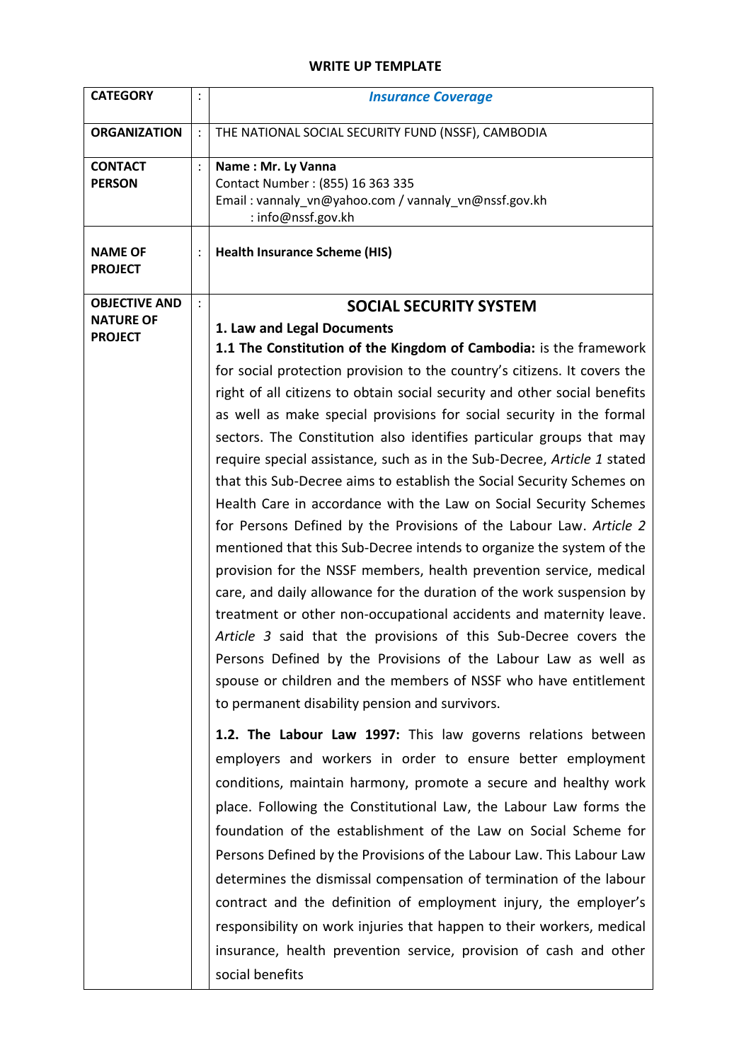## **WRITE UP TEMPLATE**

| <b>CATEGORY</b>                                                     | $\ddot{\cdot}$                   | <b>Insurance Coverage</b>                                                                                                                                                                                                                                                                                                                                                                                                                                                                                                                                                                                                                                                                                                                                                                                                                                                                                                                                                                                                                                                                                                                                                                                                                                                                       |
|---------------------------------------------------------------------|----------------------------------|-------------------------------------------------------------------------------------------------------------------------------------------------------------------------------------------------------------------------------------------------------------------------------------------------------------------------------------------------------------------------------------------------------------------------------------------------------------------------------------------------------------------------------------------------------------------------------------------------------------------------------------------------------------------------------------------------------------------------------------------------------------------------------------------------------------------------------------------------------------------------------------------------------------------------------------------------------------------------------------------------------------------------------------------------------------------------------------------------------------------------------------------------------------------------------------------------------------------------------------------------------------------------------------------------|
| <b>ORGANIZATION</b>                                                 | $\ddot{\cdot}$                   | THE NATIONAL SOCIAL SECURITY FUND (NSSF), CAMBODIA                                                                                                                                                                                                                                                                                                                                                                                                                                                                                                                                                                                                                                                                                                                                                                                                                                                                                                                                                                                                                                                                                                                                                                                                                                              |
| <b>CONTACT</b><br><b>PERSON</b><br><b>NAME OF</b><br><b>PROJECT</b> | $\ddot{\cdot}$<br>$\ddot{\cdot}$ | Name: Mr. Ly Vanna<br>Contact Number: (855) 16 363 335<br>Email: vannaly_vn@yahoo.com / vannaly_vn@nssf.gov.kh<br>: info@nssf.gov.kh<br><b>Health Insurance Scheme (HIS)</b>                                                                                                                                                                                                                                                                                                                                                                                                                                                                                                                                                                                                                                                                                                                                                                                                                                                                                                                                                                                                                                                                                                                    |
|                                                                     |                                  |                                                                                                                                                                                                                                                                                                                                                                                                                                                                                                                                                                                                                                                                                                                                                                                                                                                                                                                                                                                                                                                                                                                                                                                                                                                                                                 |
| <b>OBJECTIVE AND</b><br><b>NATURE OF</b><br><b>PROJECT</b>          | $\vdots$                         | <b>SOCIAL SECURITY SYSTEM</b><br>1. Law and Legal Documents<br>1.1 The Constitution of the Kingdom of Cambodia: is the framework<br>for social protection provision to the country's citizens. It covers the<br>right of all citizens to obtain social security and other social benefits<br>as well as make special provisions for social security in the formal<br>sectors. The Constitution also identifies particular groups that may<br>require special assistance, such as in the Sub-Decree, Article 1 stated<br>that this Sub-Decree aims to establish the Social Security Schemes on<br>Health Care in accordance with the Law on Social Security Schemes<br>for Persons Defined by the Provisions of the Labour Law. Article 2<br>mentioned that this Sub-Decree intends to organize the system of the<br>provision for the NSSF members, health prevention service, medical<br>care, and daily allowance for the duration of the work suspension by<br>treatment or other non-occupational accidents and maternity leave.<br>Article 3 said that the provisions of this Sub-Decree covers the<br>Persons Defined by the Provisions of the Labour Law as well as<br>spouse or children and the members of NSSF who have entitlement<br>to permanent disability pension and survivors. |
|                                                                     |                                  | 1.2. The Labour Law 1997: This law governs relations between<br>employers and workers in order to ensure better employment<br>conditions, maintain harmony, promote a secure and healthy work<br>place. Following the Constitutional Law, the Labour Law forms the<br>foundation of the establishment of the Law on Social Scheme for<br>Persons Defined by the Provisions of the Labour Law. This Labour Law<br>determines the dismissal compensation of termination of the labour<br>contract and the definition of employment injury, the employer's<br>responsibility on work injuries that happen to their workers, medical<br>insurance, health prevention service, provision of cash and other<br>social benefits                                                                                                                                                                                                                                                                                                                                                                                                                                                                                                                                                                        |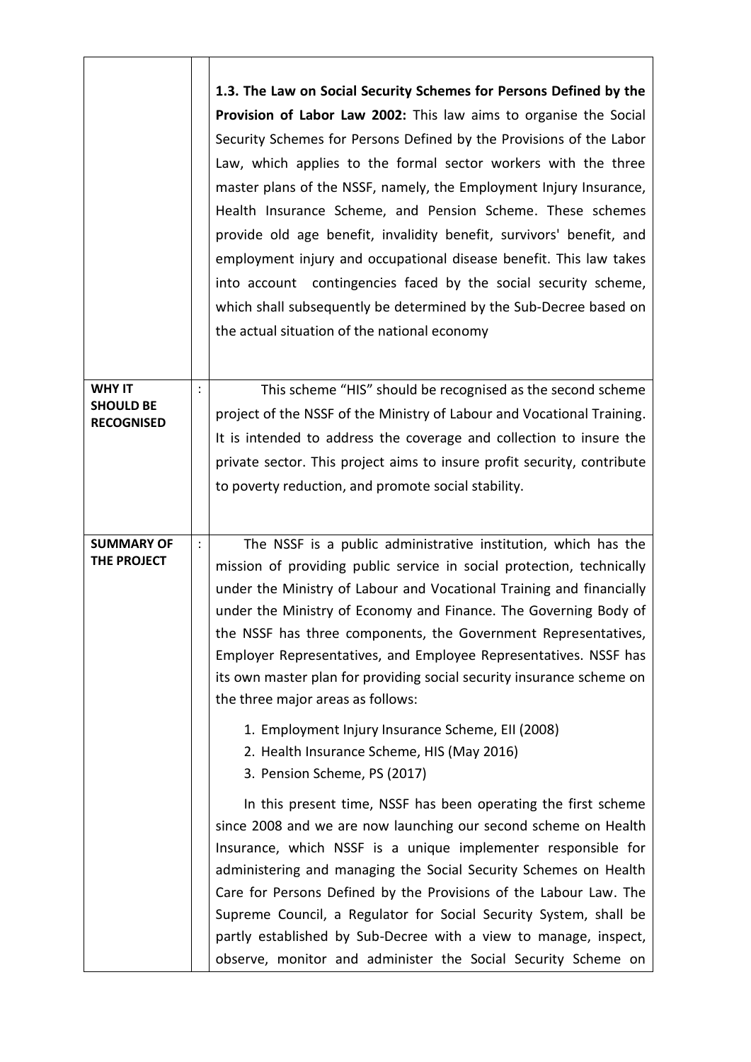|                                                        |                | 1.3. The Law on Social Security Schemes for Persons Defined by the<br>Provision of Labor Law 2002: This law aims to organise the Social<br>Security Schemes for Persons Defined by the Provisions of the Labor<br>Law, which applies to the formal sector workers with the three<br>master plans of the NSSF, namely, the Employment Injury Insurance,<br>Health Insurance Scheme, and Pension Scheme. These schemes<br>provide old age benefit, invalidity benefit, survivors' benefit, and<br>employment injury and occupational disease benefit. This law takes<br>into account contingencies faced by the social security scheme,<br>which shall subsequently be determined by the Sub-Decree based on<br>the actual situation of the national economy |
|--------------------------------------------------------|----------------|------------------------------------------------------------------------------------------------------------------------------------------------------------------------------------------------------------------------------------------------------------------------------------------------------------------------------------------------------------------------------------------------------------------------------------------------------------------------------------------------------------------------------------------------------------------------------------------------------------------------------------------------------------------------------------------------------------------------------------------------------------|
| <b>WHY IT</b><br><b>SHOULD BE</b><br><b>RECOGNISED</b> |                | This scheme "HIS" should be recognised as the second scheme<br>project of the NSSF of the Ministry of Labour and Vocational Training.<br>It is intended to address the coverage and collection to insure the<br>private sector. This project aims to insure profit security, contribute<br>to poverty reduction, and promote social stability.                                                                                                                                                                                                                                                                                                                                                                                                             |
| <b>SUMMARY OF</b><br>THE PROJECT                       | $\ddot{\cdot}$ | The NSSF is a public administrative institution, which has the<br>mission of providing public service in social protection, technically<br>under the Ministry of Labour and Vocational Training and financially<br>under the Ministry of Economy and Finance. The Governing Body of<br>the NSSF has three components, the Government Representatives,<br>Employer Representatives, and Employee Representatives. NSSF has<br>its own master plan for providing social security insurance scheme on<br>the three major areas as follows:<br>1. Employment Injury Insurance Scheme, EII (2008)<br>2. Health Insurance Scheme, HIS (May 2016)<br>3. Pension Scheme, PS (2017)                                                                                 |
|                                                        |                | In this present time, NSSF has been operating the first scheme<br>since 2008 and we are now launching our second scheme on Health<br>Insurance, which NSSF is a unique implementer responsible for<br>administering and managing the Social Security Schemes on Health<br>Care for Persons Defined by the Provisions of the Labour Law. The<br>Supreme Council, a Regulator for Social Security System, shall be<br>partly established by Sub-Decree with a view to manage, inspect,<br>observe, monitor and administer the Social Security Scheme on                                                                                                                                                                                                      |

÷